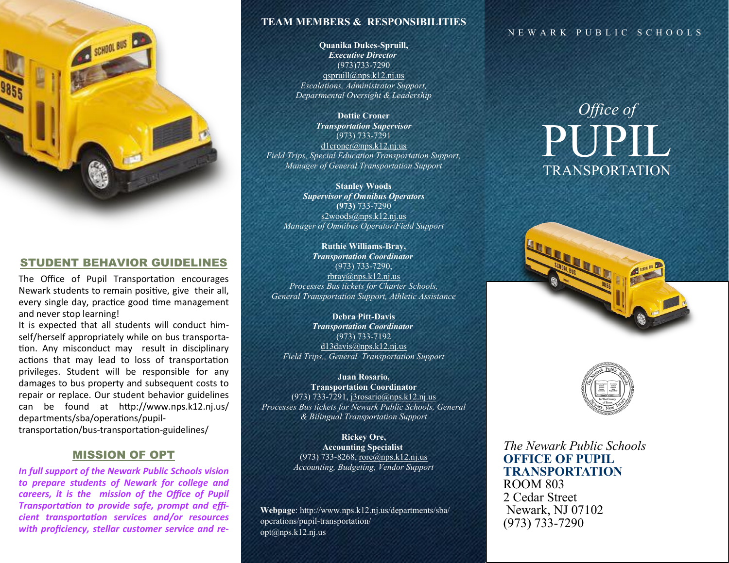

#### STUDENT BEHAVIOR GUIDELINES

The Office of Pupil Transportation encourages Newark students to remain positive, give their all, every single day, practice good time management and never stop learning!

It is expected that all students will conduct himself/herself appropriately while on bus transportation. Any misconduct may result in disciplinary actions that may lead to loss of transportation privileges. Student will be responsible for any damages to bus property and subsequent costs to repair or replace. Our student behavior guidelines can be found at htp://www.nps.k12.nj.us/ departments/sba/operatons/pupil-

transportaton/bus-transportaton-guidelines/

#### MISSION OF OPT

*In full support of the Newark Public Schools vision to prepare students of Newark for college and*  careers, it is the mission of the Office of Pupil *Transportation to provide safe, prompt and efficient transportaton services and/or resources*  with proficiency, stellar customer service and re-

#### **TEAM MEMBERS & RESPONSIBILITIES**

**Quanika Dukes-Spruill,** *Executive Director* (973)733-7290 [qspruill@nps.k12.nj.us](mailto:qspruill@nps.k12.nj.us) *Escalations, Administrator Support, Departmental Oversight & Leadership*

**Dottie Croner** *Transportation Supervisor* (973) 733-7291 [d1croner@nps.k12.nj.us](mailto:d1croner@nps.k12.nj.us) *Field Trips, Special Education Transportation Support, Manager of General Transportation Support*

**Stanley Woods** *Supervisor of Omnibus Operators* **(973)** 733-7290 s2woods@nps.k12.nj.us *Manager of Omnibus Operator/Field Support*

**Ruthie Williams-Bray,** *Transportation Coordinator* (973) 733-7290, [rbray@nps.k12.nj.us](mailto:rbray@nps.k12.nj.us) *Processes Bus tickets for Charter Schools, General Transportation Support, Athletic Assistance*

**Debra Pitt-Davis** *Transportation Coordinator* (973) 733-7192 [d13davis@nps.k12.nj.us](mailto:wlewis@nps.k12.nj.us) *Field Trips,, General Transportation Support*

**Juan Rosario, Transportation Coordinator** (973) 733-7291, [j3rosario@nps.k12.nj.us](mailto:j3rosario@nps.k12.nj.us) *Processes Bus tickets for Newark Public Schools, General & Bilingual Transportation Support*

> **Rickey Ore, Accounting Specialist** (973) 733-8268, [rore@nps.k12.nj.us](mailto:rore@nps.k12.nj.us) *Accounting, Budgeting, Vendor Support*

**Webpage**: http://www.nps.k12.nj.us/departments/sba/ operations/pupil-transportation/ opt@nps.k12.nj.us

#### NEWARK PUBLIC SCHOOLS

# *Office of* PUPIL TRANSPORTATION





*The Newark Public Schools* **OFFICE OF PUPIL TRANSPORTATION** ROOM 803 2 Cedar Street Newark, NJ 07102 (973) 733-7290